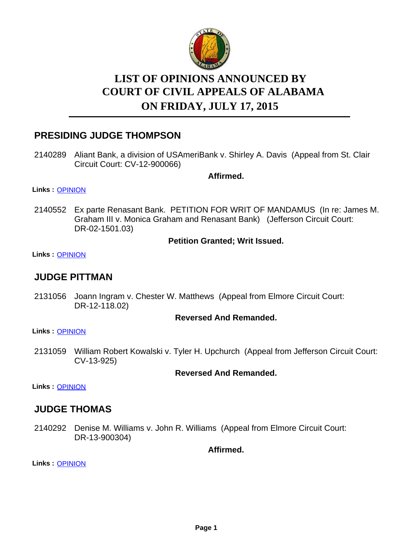

# **LIST OF OPINIONS ANNOUNCED BY ON FRIDAY, JULY 17, 2015 COURT OF CIVIL APPEALS OF ALABAMA**

# **PRESIDING JUDGE THOMPSON**

2140289 Aliant Bank, a division of USAmeriBank v. Shirley A. Davis (Appeal from St. Clair Circuit Court: CV-12-900066)

**Affirmed.**

**Links :** [OPINION](https://acis.alabama.gov/displaydocs.cfm?no=671444&event=4EF0K0QT8)

2140552 Ex parte Renasant Bank. PETITION FOR WRIT OF MANDAMUS (In re: James M. Graham III v. Monica Graham and Renasant Bank) (Jefferson Circuit Court: DR-02-1501.03)

#### **Petition Granted; Writ Issued.**

**Links :** [OPINION](https://acis.alabama.gov/displaydocs.cfm?no=671448&event=4EF0K0REV)

### **JUDGE PITTMAN**

2131056 Joann Ingram v. Chester W. Matthews (Appeal from Elmore Circuit Court: DR-12-118.02)

#### **Reversed And Remanded.**

**Links :** [OPINION](https://acis.alabama.gov/displaydocs.cfm?no=671439&event=4EF0K0Q2D)

2131059 William Robert Kowalski v. Tyler H. Upchurch (Appeal from Jefferson Circuit Court: CV-13-925)

#### **Reversed And Remanded.**

**Links :** [OPINION](https://acis.alabama.gov/displaydocs.cfm?no=671440&event=4EF0K0Q8F)

### **JUDGE THOMAS**

2140292 Denise M. Williams v. John R. Williams (Appeal from Elmore Circuit Court: DR-13-900304)

**Affirmed.**

**Links :** [OPINION](https://acis.alabama.gov/displaydocs.cfm?no=671445&event=4EF0K0QYV)